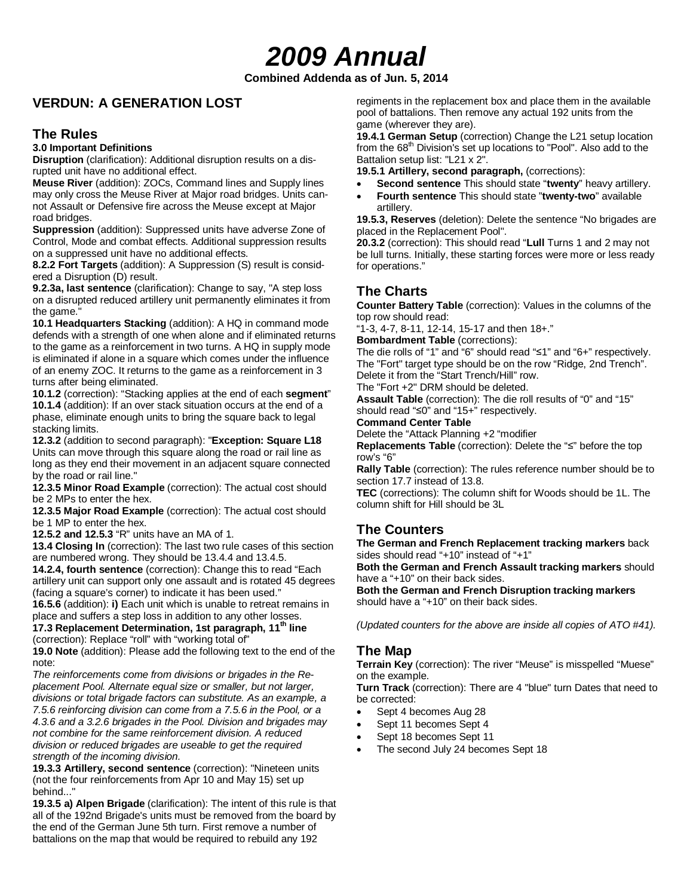# *2009 Annual*

**Combined Addenda as of Jun. 5, 2014**

## **VERDUN: A GENERATION LOST**

#### **The Rules**

#### **3.0 Important Definitions**

**Disruption** (clarification): Additional disruption results on a disrupted unit have no additional effect.

**Meuse River** (addition): ZOCs, Command lines and Supply lines may only cross the Meuse River at Major road bridges. Units cannot Assault or Defensive fire across the Meuse except at Major road bridges.

**Suppression** (addition): Suppressed units have adverse Zone of Control, Mode and combat effects. Additional suppression results on a suppressed unit have no additional effects.

**8.2.2 Fort Targets** (addition): A Suppression (S) result is considered a Disruption (D) result.

**9.2.3a, last sentence** (clarification): Change to say, "A step loss on a disrupted reduced artillery unit permanently eliminates it from the game."

**10.1 Headquarters Stacking** (addition): A HQ in command mode defends with a strength of one when alone and if eliminated returns to the game as a reinforcement in two turns. A HQ in supply mode is eliminated if alone in a square which comes under the influence of an enemy ZOC. It returns to the game as a reinforcement in 3 turns after being eliminated.

**10.1.2** (correction): "Stacking applies at the end of each **segment**" **10.1.4** (addition): If an over stack situation occurs at the end of a phase, eliminate enough units to bring the square back to legal stacking limits.

**12.3.2** (addition to second paragraph): "**Exception: Square L18** Units can move through this square along the road or rail line as long as they end their movement in an adjacent square connected by the road or rail line."

**12.3.5 Minor Road Example** (correction): The actual cost should be 2 MPs to enter the hex.

**12.3.5 Major Road Example** (correction): The actual cost should be 1 MP to enter the hex.

**12.5.2 and 12.5.3** "R" units have an MA of 1.

**13.4 Closing In** (correction): The last two rule cases of this section are numbered wrong. They should be 13.4.4 and 13.4.5.

**14.2.4, fourth sentence** (correction): Change this to read "Each artillery unit can support only one assault and is rotated 45 degrees (facing a square's corner) to indicate it has been used."

**16.5.6** (addition): **i)** Each unit which is unable to retreat remains in place and suffers a step loss in addition to any other losses.

17.3 Replacement Determination, 1st paragraph, 11<sup>th</sup> line (correction): Replace "roll" with "working total of"

**19.0 Note** (addition): Please add the following text to the end of the note:

*The reinforcements come from divisions or brigades in the Replacement Pool. Alternate equal size or smaller, but not larger, divisions or total brigade factors can substitute. As an example, a 7.5.6 reinforcing division can come from a 7.5.6 in the Pool, or a 4.3.6 and a 3.2.6 brigades in the Pool. Division and brigades may not combine for the same reinforcement division. A reduced division or reduced brigades are useable to get the required strength of the incoming division.*

**19.3.3 Artillery, second sentence** (correction): "Nineteen units (not the four reinforcements from Apr 10 and May 15) set up behind..."

**19.3.5 a) Alpen Brigade** (clarification): The intent of this rule is that all of the 192nd Brigade's units must be removed from the board by the end of the German June 5th turn. First remove a number of battalions on the map that would be required to rebuild any 192

regiments in the replacement box and place them in the available pool of battalions. Then remove any actual 192 units from the game (wherever they are).

**19.4.1 German Setup** (correction) Change the L21 setup location from the  $68<sup>th</sup>$  Division's set up locations to "Pool". Also add to the Battalion setup list: "L21 x 2".

**19.5.1 Artillery, second paragraph,** (corrections):

- **Second sentence** This should state "**twenty**" heavy artillery.
- **Fourth sentence** This should state "**twenty-two**" available artillery.

**19.5.3, Reserves** (deletion): Delete the sentence "No brigades are placed in the Replacement Pool".

**20.3.2** (correction): This should read "**Lull** Turns 1 and 2 may not be lull turns. Initially, these starting forces were more or less ready for operations."

# **The Charts**

**Counter Battery Table** (correction): Values in the columns of the top row should read:

"1-3, 4-7, 8-11, 12-14, 15-17 and then 18+."

**Bombardment Table** (corrections):

The die rolls of "1" and "6" should read "≤1" and "6+" respectively. The "Fort" target type should be on the row "Ridge, 2nd Trench". Delete it from the "Start Trench/Hill" row.

The "Fort +2" DRM should be deleted.

**Assault Table** (correction): The die roll results of "0" and "15" should read "≤0" and "15+" respectively.

**Command Center Table**

Delete the "Attack Planning +2 "modifier

**Replacements Table** (correction): Delete the "≤" before the top row's "6"

**Rally Table** (correction): The rules reference number should be to section 17.7 instead of 13.8.

**TEC** (corrections): The column shift for Woods should be 1L. The column shift for Hill should be 3L

## **The Counters**

**The German and French Replacement tracking markers** back sides should read "+10" instead of "+1"

**Both the German and French Assault tracking markers** should have a "+10" on their back sides.

**Both the German and French Disruption tracking markers** should have a "+10" on their back sides.

*(Updated counters for the above are inside all copies of ATO #41).*

#### **The Map**

**Terrain Key** (correction): The river "Meuse" is misspelled "Muese" on the example.

**Turn Track** (correction): There are 4 "blue" turn Dates that need to be corrected:

- Sept 4 becomes Aug 28
- Sept 11 becomes Sept 4
- Sept 18 becomes Sept 11
- The second July 24 becomes Sept 18